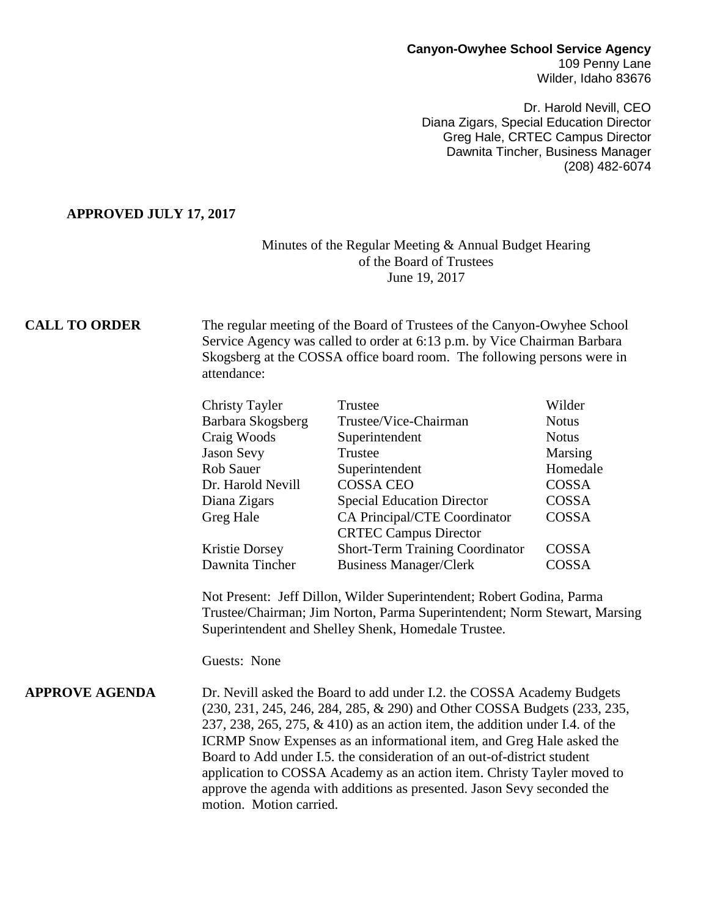# **Canyon-Owyhee School Service Agency** 109 Penny Lane

Wilder, Idaho 83676

Dr. Harold Nevill, CEO Diana Zigars, Special Education Director Greg Hale, CRTEC Campus Director Dawnita Tincher, Business Manager (208) 482-6074

#### **APPROVED JULY 17, 2017**

### Minutes of the Regular Meeting & Annual Budget Hearing of the Board of Trustees June 19, 2017

**CALL TO ORDER** The regular meeting of the Board of Trustees of the Canyon-Owyhee School Service Agency was called to order at 6:13 p.m. by Vice Chairman Barbara Skogsberg at the COSSA office board room. The following persons were in attendance:

| <b>Christy Tayler</b> | Trustee                                | Wilder       |
|-----------------------|----------------------------------------|--------------|
| Barbara Skogsberg     | Trustee/Vice-Chairman                  | <b>Notus</b> |
| Craig Woods           | Superintendent                         | <b>Notus</b> |
| Jason Sevy            | Trustee                                | Marsing      |
| Rob Sauer             | Superintendent                         | Homedale     |
| Dr. Harold Nevill     | <b>COSSA CEO</b>                       | COSSA        |
| Diana Zigars          | <b>Special Education Director</b>      | COSSA        |
| Greg Hale             | CA Principal/CTE Coordinator           | COSSA        |
|                       | <b>CRTEC Campus Director</b>           |              |
| Kristie Dorsey        | <b>Short-Term Training Coordinator</b> | <b>COSSA</b> |
| Dawnita Tincher       | <b>Business Manager/Clerk</b>          | COSSA        |

Not Present: Jeff Dillon, Wilder Superintendent; Robert Godina, Parma Trustee/Chairman; Jim Norton, Parma Superintendent; Norm Stewart, Marsing Superintendent and Shelley Shenk, Homedale Trustee.

Guests: None

**APPROVE AGENDA** Dr. Nevill asked the Board to add under I.2. the COSSA Academy Budgets (230, 231, 245, 246, 284, 285, & 290) and Other COSSA Budgets (233, 235, 237, 238, 265, 275, & 410) as an action item, the addition under I.4. of the ICRMP Snow Expenses as an informational item, and Greg Hale asked the Board to Add under I.5. the consideration of an out-of-district student application to COSSA Academy as an action item. Christy Tayler moved to approve the agenda with additions as presented. Jason Sevy seconded the motion. Motion carried.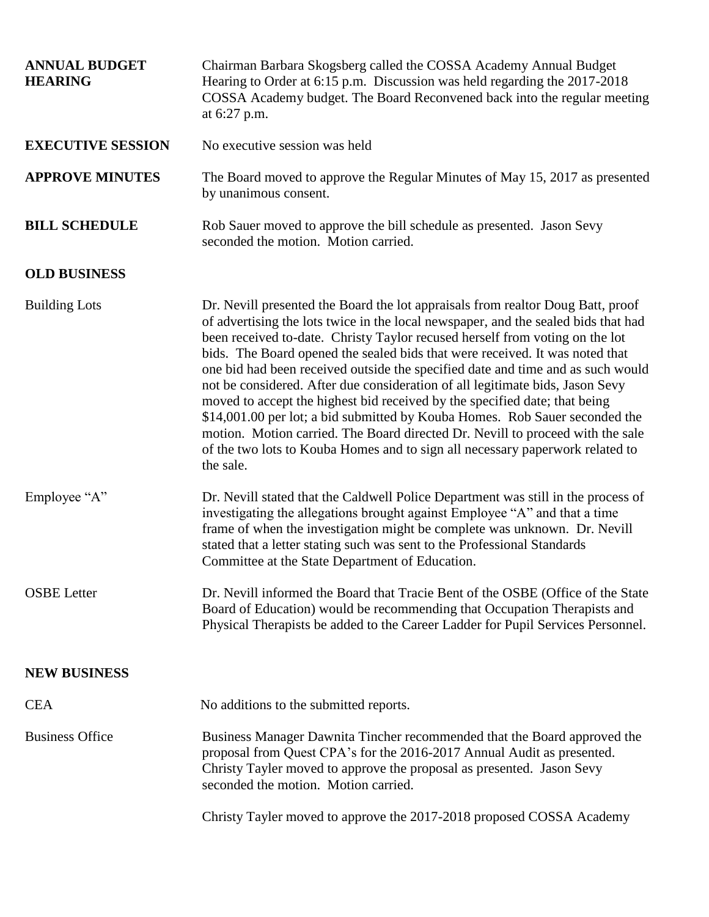| <b>ANNUAL BUDGET</b><br><b>HEARING</b> | Chairman Barbara Skogsberg called the COSSA Academy Annual Budget<br>Hearing to Order at 6:15 p.m. Discussion was held regarding the 2017-2018<br>COSSA Academy budget. The Board Reconvened back into the regular meeting<br>at 6:27 p.m.                                                                                                                                                                                                                                                                                                                                                                                                                                                                                                                                                                                                             |
|----------------------------------------|--------------------------------------------------------------------------------------------------------------------------------------------------------------------------------------------------------------------------------------------------------------------------------------------------------------------------------------------------------------------------------------------------------------------------------------------------------------------------------------------------------------------------------------------------------------------------------------------------------------------------------------------------------------------------------------------------------------------------------------------------------------------------------------------------------------------------------------------------------|
| <b>EXECUTIVE SESSION</b>               | No executive session was held                                                                                                                                                                                                                                                                                                                                                                                                                                                                                                                                                                                                                                                                                                                                                                                                                          |
| <b>APPROVE MINUTES</b>                 | The Board moved to approve the Regular Minutes of May 15, 2017 as presented<br>by unanimous consent.                                                                                                                                                                                                                                                                                                                                                                                                                                                                                                                                                                                                                                                                                                                                                   |
| <b>BILL SCHEDULE</b>                   | Rob Sauer moved to approve the bill schedule as presented. Jason Sevy<br>seconded the motion. Motion carried.                                                                                                                                                                                                                                                                                                                                                                                                                                                                                                                                                                                                                                                                                                                                          |
| <b>OLD BUSINESS</b>                    |                                                                                                                                                                                                                                                                                                                                                                                                                                                                                                                                                                                                                                                                                                                                                                                                                                                        |
| <b>Building Lots</b>                   | Dr. Nevill presented the Board the lot appraisals from realtor Doug Batt, proof<br>of advertising the lots twice in the local newspaper, and the sealed bids that had<br>been received to-date. Christy Taylor recused herself from voting on the lot<br>bids. The Board opened the sealed bids that were received. It was noted that<br>one bid had been received outside the specified date and time and as such would<br>not be considered. After due consideration of all legitimate bids, Jason Sevy<br>moved to accept the highest bid received by the specified date; that being<br>\$14,001.00 per lot; a bid submitted by Kouba Homes. Rob Sauer seconded the<br>motion. Motion carried. The Board directed Dr. Nevill to proceed with the sale<br>of the two lots to Kouba Homes and to sign all necessary paperwork related to<br>the sale. |
| Employee "A"                           | Dr. Nevill stated that the Caldwell Police Department was still in the process of<br>investigating the allegations brought against Employee "A" and that a time<br>frame of when the investigation might be complete was unknown. Dr. Nevill<br>stated that a letter stating such was sent to the Professional Standards<br>Committee at the State Department of Education.                                                                                                                                                                                                                                                                                                                                                                                                                                                                            |
| <b>OSBE</b> Letter                     | Dr. Nevill informed the Board that Tracie Bent of the OSBE (Office of the State<br>Board of Education) would be recommending that Occupation Therapists and<br>Physical Therapists be added to the Career Ladder for Pupil Services Personnel.                                                                                                                                                                                                                                                                                                                                                                                                                                                                                                                                                                                                         |
| <b>NEW BUSINESS</b>                    |                                                                                                                                                                                                                                                                                                                                                                                                                                                                                                                                                                                                                                                                                                                                                                                                                                                        |
| <b>CEA</b>                             | No additions to the submitted reports.                                                                                                                                                                                                                                                                                                                                                                                                                                                                                                                                                                                                                                                                                                                                                                                                                 |
| <b>Business Office</b>                 | Business Manager Dawnita Tincher recommended that the Board approved the<br>proposal from Quest CPA's for the 2016-2017 Annual Audit as presented.<br>Christy Tayler moved to approve the proposal as presented. Jason Sevy<br>seconded the motion. Motion carried.                                                                                                                                                                                                                                                                                                                                                                                                                                                                                                                                                                                    |
|                                        | Christy Tayler moved to approve the 2017-2018 proposed COSSA Academy                                                                                                                                                                                                                                                                                                                                                                                                                                                                                                                                                                                                                                                                                                                                                                                   |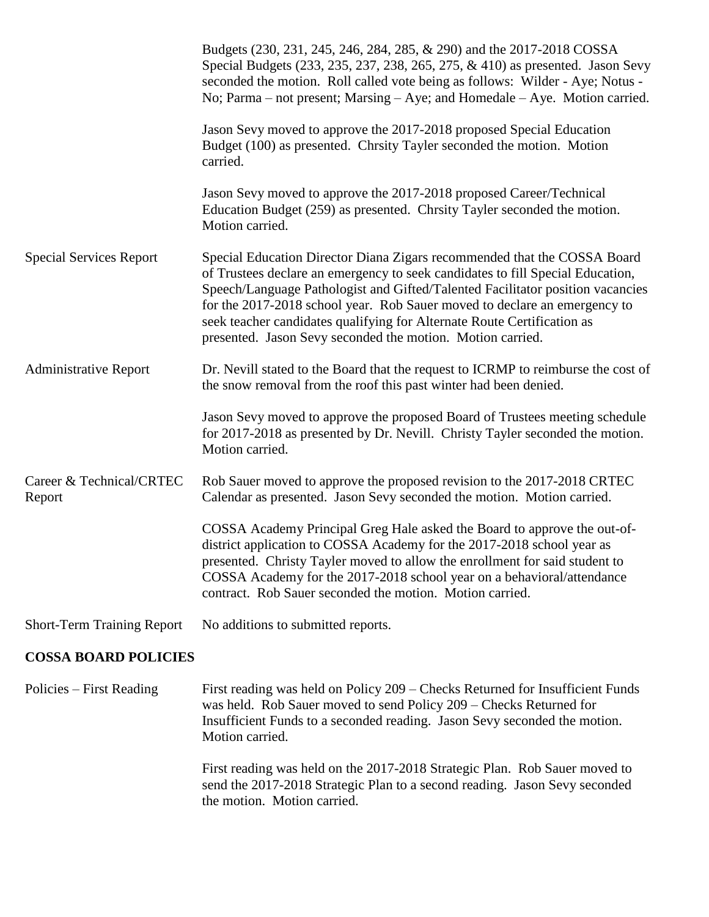|                                    | Budgets (230, 231, 245, 246, 284, 285, & 290) and the 2017-2018 COSSA<br>Special Budgets (233, 235, 237, 238, 265, 275, & 410) as presented. Jason Sevy<br>seconded the motion. Roll called vote being as follows: Wilder - Aye; Notus -<br>No; Parma – not present; Marsing – Aye; and Homedale – Aye. Motion carried.                                                                                                                                            |
|------------------------------------|--------------------------------------------------------------------------------------------------------------------------------------------------------------------------------------------------------------------------------------------------------------------------------------------------------------------------------------------------------------------------------------------------------------------------------------------------------------------|
|                                    | Jason Sevy moved to approve the 2017-2018 proposed Special Education<br>Budget (100) as presented. Chrsity Tayler seconded the motion. Motion<br>carried.                                                                                                                                                                                                                                                                                                          |
|                                    | Jason Sevy moved to approve the 2017-2018 proposed Career/Technical<br>Education Budget (259) as presented. Chrsity Tayler seconded the motion.<br>Motion carried.                                                                                                                                                                                                                                                                                                 |
| <b>Special Services Report</b>     | Special Education Director Diana Zigars recommended that the COSSA Board<br>of Trustees declare an emergency to seek candidates to fill Special Education,<br>Speech/Language Pathologist and Gifted/Talented Facilitator position vacancies<br>for the 2017-2018 school year. Rob Sauer moved to declare an emergency to<br>seek teacher candidates qualifying for Alternate Route Certification as<br>presented. Jason Sevy seconded the motion. Motion carried. |
| <b>Administrative Report</b>       | Dr. Nevill stated to the Board that the request to ICRMP to reimburse the cost of<br>the snow removal from the roof this past winter had been denied.                                                                                                                                                                                                                                                                                                              |
|                                    | Jason Sevy moved to approve the proposed Board of Trustees meeting schedule<br>for 2017-2018 as presented by Dr. Nevill. Christy Tayler seconded the motion.<br>Motion carried.                                                                                                                                                                                                                                                                                    |
| Career & Technical/CRTEC<br>Report | Rob Sauer moved to approve the proposed revision to the 2017-2018 CRTEC<br>Calendar as presented. Jason Sevy seconded the motion. Motion carried.                                                                                                                                                                                                                                                                                                                  |
|                                    | COSSA Academy Principal Greg Hale asked the Board to approve the out-of-<br>district application to COSSA Academy for the 2017-2018 school year as<br>presented. Christy Tayler moved to allow the enrollment for said student to<br>COSSA Academy for the 2017-2018 school year on a behavioral/attendance<br>contract. Rob Sauer seconded the motion. Motion carried.                                                                                            |
| <b>Short-Term Training Report</b>  | No additions to submitted reports.                                                                                                                                                                                                                                                                                                                                                                                                                                 |

## **COSSA BOARD POLICIES**

Policies – First Reading First reading was held on Policy 209 – Checks Returned for Insufficient Funds was held. Rob Sauer moved to send Policy 209 – Checks Returned for Insufficient Funds to a seconded reading. Jason Sevy seconded the motion. Motion carried.

> First reading was held on the 2017-2018 Strategic Plan. Rob Sauer moved to send the 2017-2018 Strategic Plan to a second reading. Jason Sevy seconded the motion. Motion carried.